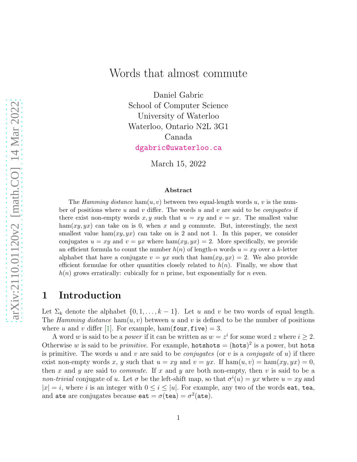# Words that almost commute

Daniel Gabric School of Computer Science University of Waterloo Waterloo, Ontario N2L 3G1 Canada [dgabric@uwaterloo.ca](mailto:dgabric@uwaterloo.ca)

March 15, 2022

#### Abstract

The Hamming distance ham $(u, v)$  between two equal-length words u, v is the number of positions where u and v differ. The words u and v are said to be *conjugates* if there exist non-empty words x, y such that  $u = xy$  and  $v = yx$ . The smallest value ham(xy, yx) can take on is 0, when x and y commute. But, interestingly, the next smallest value ham $(xy, yx)$  can take on is 2 and not 1. In this paper, we consider conjugates  $u = xy$  and  $v = yx$  where  $ham(xy, yx) = 2$ . More specifically, we provide an efficient formula to count the number  $h(n)$  of length-n words  $u = xy$  over a k-letter alphabet that have a conjugate  $v = yx$  such that  $\text{ham}(xy, yx) = 2$ . We also provide efficient formulae for other quantities closely related to  $h(n)$ . Finally, we show that  $h(n)$  grows erratically: cubically for n prime, but exponentially for n even.

#### 1 Introduction

Let  $\Sigma_k$  denote the alphabet  $\{0, 1, \ldots, k-1\}$ . Let u and v be two words of equal length. The Hamming distance ham $(u, v)$  between u and v is defined to be the number of positions where u and v differ [\[1\]](#page-11-0). For example, ham(four, five) = 3.

A word w is said to be a *power* if it can be written as  $w = z^i$  for some word z where  $i \geq 2$ . Otherwise w is said to be *primitive*. For example,  $\text{hotshots} = (\text{hots})^2$  is a power, but  $\text{hots}$ is primitive. The words u and v are said to be *conjugates* (or v is a *conjugate* of u) if there exist non-empty words x, y such that  $u = xy$  and  $v = yx$ . If  $ham(u, v) = ham(xy, yx) = 0$ , then x and y are said to *commute*. If x and y are both non-empty, then v is said to be a non-trivial conjugate of u. Let  $\sigma$  be the left-shift map, so that  $\sigma^{i}(u) = yx$  where  $u = xy$  and  $|x| = i$ , where i is an integer with  $0 \le i \le |u|$ . For example, any two of the words eat, tea, and ate are conjugates because  $exttt{eat} = \sigma(\texttt{tea}) = \sigma^2(\texttt{ate})$ .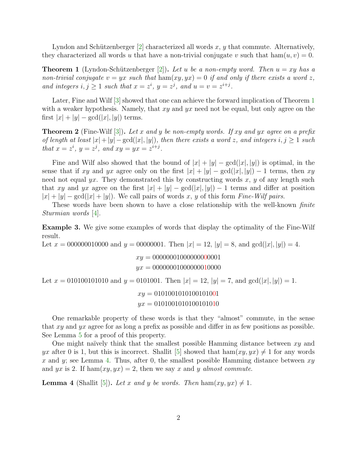Lyndon and Schützenberger  $[2]$  characterized all words x, y that commute. Alternatively, they characterized all words u that have a non-trivial conjugate v such that  $ham(u, v) = 0$ .

<span id="page-1-0"></span>**Theorem 1** (Lyndon-Schützenberger [\[2\]](#page-11-1)). Let u be a non-empty word. Then  $u = xy$  has a non-trivial conjugate  $v = yx$  such that  $\text{ham}(xy, yx) = 0$  if and only if there exists a word z, and integers  $i, j \geq 1$  such that  $x = z^i$ ,  $y = z^j$ , and  $u = v = z^{i+j}$ .

Later, Fine and Wilf  $\left[3\right]$  showed that one can achieve the forward implication of Theorem [1](#page-1-0) with a weaker hypothesis. Namely, that  $xy$  and  $yx$  need not be equal, but only agree on the first  $|x| + |y| - \gcd(|x|, |y|)$  terms.

**Theorem 2** (Fine-Wilf [\[3\]](#page-11-2)). Let x and y be non-empty words. If xy and yx agree on a prefix of length at least  $|x|+|y|-\gcd(|x|, |y|)$ , then there exists a word z, and integers  $i, j \geq 1$  such that  $x = z^i$ ,  $y = z^j$ , and  $xy = yx = z^{i+j}$ .

Fine and Wilf also showed that the bound of  $|x| + |y| - \gcd(|x|, |y|)$  is optimal, in the sense that if xy and yx agree only on the first  $|x| + |y| - \gcd(|x|, |y|) - 1$  terms, then xy need not equal yx. They demonstrated this by constructing words x, y of any length such that xy and yx agree on the first  $|x| + |y| - \gcd(|x|, |y|) - 1$  terms and differ at position  $|x| + |y| - \gcd(|x| + |y|)$ . We call pairs of words x, y of this form Fine-Wilf pairs.

These words have been shown to have a close relationship with the well-known *finite* Sturmian words [\[4\]](#page-11-3).

Example 3. We give some examples of words that display the optimality of the Fine-Wilf result.

Let  $x = 000000010000$  and  $y = 00000001$ . Then  $|x| = 12$ ,  $|y| = 8$ , and  $gcd(|x|, |y|) = 4$ .  $xy = 00000001000000000001$  $yx = 00000001000000010000$ Let  $x = 010100101010$  and  $y = 0101001$ . Then  $|x| = 12$ ,  $|y| = 7$ , and  $gcd(|x|, |y|) = 1$ .  $xy = 0101001010100101001$  $yx = 0101001010100101010$ 

One remarkable property of these words is that they "almost" commute, in the sense that xy and yx agree for as long a prefix as possible and differ in as few positions as possible. See Lemma [5](#page-2-0) for a proof of this property.

One might naïvely think that the smallest possible Hamming distance between  $xy$  and yx after 0 is 1, but this is incorrect. Shallit [\[5\]](#page-11-4) showed that  $\text{ham}(xy, yx) \neq 1$  for any words x and y; see Lemma [4.](#page-1-1) Thus, after 0, the smallest possible Hamming distance between  $xy$ and yx is 2. If ham $(xy, yx) = 2$ , then we say x and y almost commute.

<span id="page-1-1"></span>**Lemma 4** (Shallit [\[5\]](#page-11-4)). Let x and y be words. Then ham $(xy, yx) \neq 1$ .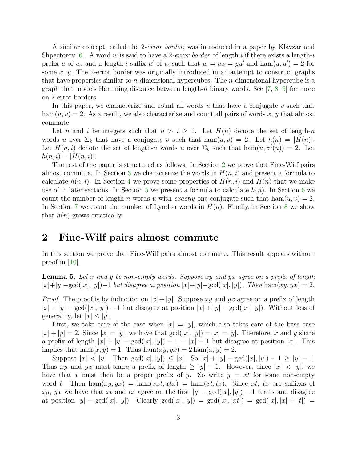A similar concept, called the 2-*error border*, was introduced in a paper by Klavžar and Shpectorov [\[6\]](#page-11-5). A word w is said to have a 2-error border of length i if there exists a length-i prefix u of w, and a length-i suffix u' of w such that  $w = ux = yu'$  and  $ham(u, u') = 2$  for some  $x, y$ . The 2-error border was originally introduced in an attempt to construct graphs that have properties similar to  $n$ -dimensional hypercubes. The  $n$ -dimensional hypercube is a graph that models Hamming distance between length-n binary words. See  $[7, 8, 9]$  $[7, 8, 9]$  $[7, 8, 9]$  $[7, 8, 9]$  for more on 2-error borders.

In this paper, we characterize and count all words  $u$  that have a conjugate  $v$  such that  $ham(u, v) = 2$ . As a result, we also characterize and count all pairs of words x, y that almost commute.

Let n and i be integers such that  $n > i \geq 1$ . Let  $H(n)$  denote the set of length-n words u over  $\Sigma_k$  that have a conjugate v such that  $\text{ham}(u, v) = 2$ . Let  $h(n) = |H(n)|$ . Let  $H(n, i)$  denote the set of length-n words u over  $\Sigma_k$  such that  $ham(u, \sigma^i(u)) = 2$ . Let  $h(n, i) = |H(n, i)|$ .

The rest of the paper is structured as follows. In Section [2](#page-2-1) we prove that Fine-Wilf pairs almost commute. In Section [3](#page-3-0) we characterize the words in  $H(n, i)$  and present a formula to calculate  $h(n, i)$ . In Section [4](#page-5-0) we prove some properties of  $H(n, i)$  and  $H(n)$  that we make use of in later sections. In Section [5](#page-6-0) we present a formula to calculate  $h(n)$ . In Section [6](#page-9-0) we count the number of length-n words u with exactly one conjugate such that ham $(u, v) = 2$ . In Section [7](#page-10-0) we count the number of Lyndon words in  $H(n)$ . Finally, in Section [8](#page-10-1) we show that  $h(n)$  grows erratically.

#### <span id="page-2-1"></span>2 Fine-Wilf pairs almost commute

In this section we prove that Fine-Wilf pairs almost commute. This result appears without proof in  $[10]$ .

<span id="page-2-0"></span>**Lemma 5.** Let x and y be non-empty words. Suppose xy and yx agree on a prefix of length  $|x|+|y|-\gcd(|x|, |y|)-1$  but disagree at position  $|x|+|y|-\gcd(|x|, |y|)$ . Then ham $(xy, yx)=2$ .

*Proof.* The proof is by induction on  $|x| + |y|$ . Suppose xy and yx agree on a prefix of length  $|x| + |y| - \gcd(|x|, |y|) - 1$  but disagree at position  $|x| + |y| - \gcd(|x|, |y|)$ . Without loss of generality, let  $|x| \leq |y|$ .

First, we take care of the case when  $|x| = |y|$ , which also takes care of the base case  $|x| + |y| = 2$ . Since  $|x| = |y|$ , we have that  $gcd(|x|, |y|) = |x| = |y|$ . Therefore, x and y share a prefix of length  $|x| + |y| - \gcd(|x|, |y|) - 1 = |x| - 1$  but disagree at position |x|. This implies that  $ham(x, y) = 1$ . Thus  $ham(xy, yx) = 2ham(x, y) = 2$ .

Suppose  $|x| < |y|$ . Then  $gcd(|x|, |y|) \le |x|$ . So  $|x| + |y| - gcd(|x|, |y|) - 1 \ge |y| - 1$ . Thus xy and yx must share a prefix of length  $\ge |y| - 1$ . However, since  $|x| < |y|$ , we have that x must then be a proper prefix of y. So write  $y = xt$  for some non-empty word t. Then  $\hom(xy, yx) = \hom(xxt, xtx) = \hom(xtt, tx)$ . Since xt, tx are suffixes of xy, yx we have that xt and tx agree on the first  $|y| - \gcd(|x|, |y|) - 1$  terms and disagree at position  $|y| - \gcd(|x|, |y|)$ . Clearly  $\gcd(|x|, |y|) = \gcd(|x|, |xt|) = \gcd(|x|, |x| + |t|) =$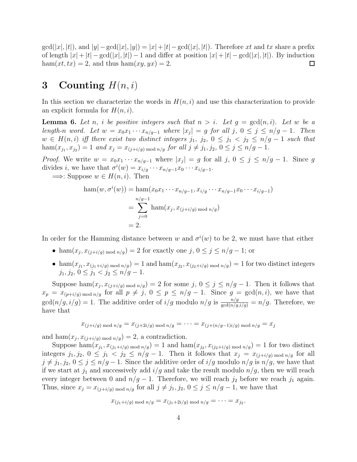$gcd(|x|, |t|)$ , and  $|y| - gcd(|x|, |y|) = |x| + |t| - gcd(|x|, |t|)$ . Therefore xt and tx share a prefix of length  $|x| + |t| - \gcd(|x|, |t|) - 1$  and differ at position  $|x| + |t| - \gcd(|x|, |t|)$ . By induction  $ham(xt, tx) = 2$ , and thus  $ham(xy, yx) = 2$ .  $\Box$ 

## <span id="page-3-0"></span>3 Counting  $H(n,i)$

In this section we characterize the words in  $H(n, i)$  and use this characterization to provide an explicit formula for  $H(n, i)$ .

<span id="page-3-1"></span>**Lemma 6.** Let n, i be positive integers such that  $n > i$ . Let  $g = \gcd(n, i)$ . Let w be a length-n word. Let  $w = x_0 x_1 \cdots x_{n/g-1}$  where  $|x_j| = g$  for all  $j, 0 \le j \le n/g-1$ . Then  $w \in H(n,i)$  iff there exist two distinct integers  $j_1, j_2, 0 \leq j_1 < j_2 \leq n/g - 1$  such that ham $(x_{j_1}, x_{j_2}) = 1$  and  $x_j = x_{(j+i/g) \bmod n/g}$  for all  $j \neq j_1, j_2, 0 \leq j \leq n/g - 1$ .

*Proof.* We write  $w = x_0 x_1 \cdots x_{n/g-1}$  where  $|x_j| = g$  for all  $j, 0 \le j \le n/g - 1$ . Since g divides *i*, we have that  $\sigma^{i}(w) = x_{i/g} \cdots x_{n/g-1}x_0 \cdots x_{i/g-1}$ .

 $\implies$ : Suppose  $w \in H(n, i)$ . Then

$$
\begin{aligned} \text{ham}(w, \sigma^i(w)) &= \text{ham}(x_0 x_1 \cdots x_{n/g-1}, x_{i/g} \cdots x_{n/g-1} x_0 \cdots x_{i/g-1}) \\ &= \sum_{j=0}^{n/g-1} \text{ham}(x_j, x_{(j+i/g) \bmod n/g}) \\ &= 2. \end{aligned}
$$

In order for the Hamming distance between w and  $\sigma^i(w)$  to be 2, we must have that either

- ham $(x_j, x_{(j+i/g) \mod n/g}) = 2$  for exactly one  $j, 0 \le j \le n/g 1$ ; or
- ham $(x_{j_1}, x_{(j_1+i/g) \mod n/g}) = 1$  and ham $(x_{j_2}, x_{(j_2+i/g) \mod n/g}) = 1$  for two distinct integers  $j_1, j_2, 0 \leq j_1 < j_2 \leq n/q-1.$

Suppose ham $(x_j, x_{(j+i/g) \mod n/g}) = 2$  for some  $j, 0 \le j \le n/g - 1$ . Then it follows that  $x_p = x_{(p+i/g) \mod n/g}$  for all  $p \neq j$ ,  $0 \leq p \leq n/g - 1$ . Since  $g = \gcd(n, i)$ , we have that  $gcd(n/g, i/g) = 1$ . The additive order of  $i/g$  modulo  $n/g$  is  $\frac{n/g}{gcd(n/g, i/g)} = n/g$ . Therefore, we have that

$$
x_{(j+i/g) \mod n/g} = x_{(j+2i/g) \mod n/g} = \cdots = x_{(j+(n/g-1)i/g) \mod n/g} = x_j
$$

and  $ham(x_j, x_{(j+i/g) \mod n/g}) = 2$ , a contradiction.

Suppose  $\hom(x_{j_1}, x_{(j_1+i/g) \mod n/g}) = 1$  and  $\hom(x_{j_2}, x_{(j_2+i/g) \mod n/g}) = 1$  for two distinct integers  $j_1, j_2, 0 \le j_1 < j_2 \le n/g - 1$ . Then it follows that  $x_j = x_{(j+i/g) \mod n/g}$  for all  $j \neq j_1, j_2, 0 \leq j \leq n/g - 1$ . Since the additive order of  $i/g$  modulo  $n/g$  is  $n/g$ , we have that if we start at  $j_1$  and successively add  $i/g$  and take the result modulo  $n/g$ , then we will reach every integer between 0 and  $n/g - 1$ . Therefore, we will reach  $j_2$  before we reach  $j_1$  again. Thus, since  $x_j = x_{(j+i/q) \mod n/q}$  for all  $j \neq j_1, j_2, 0 \leq j \leq n/g - 1$ , we have that

$$
x_{(j_1+i/g) \bmod n/g} = x_{(j_1+2i/g) \bmod n/g} = \cdots = x_{j_2}
$$

.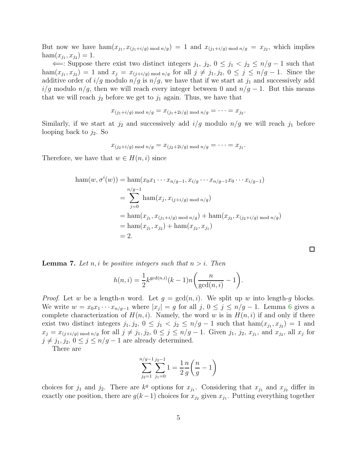But now we have  $\hom(x_{j_1}, x_{(j_1+i/g) \mod n/g}) = 1$  and  $x_{(j_1+i/g) \mod n/g} = x_{j_2}$ , which implies  $ham(x_{j_1}, x_{j_2}) = 1.$ 

 $\Leftarrow$ : Suppose there exist two distinct integers j<sub>1</sub>, j<sub>2</sub>, 0 ≤ j<sub>1</sub> < j<sub>2</sub> ≤ n/g − 1 such that ham $(x_{j_1}, x_{j_2}) = 1$  and  $x_j = x_{(j+i/g) \mod n/g}$  for all  $j \neq j_1, j_2, 0 \leq j \leq n/g - 1$ . Since the additive order of  $i/g$  modulo  $n/g$  is  $n/g$ , we have that if we start at  $j_1$  and successively add  $i/g$  modulo  $n/g$ , then we will reach every integer between 0 and  $n/g - 1$ . But this means that we will reach  $j_2$  before we get to  $j_1$  again. Thus, we have that

$$
x_{(j_1+i/g) \mod n/g} = x_{(j_1+2i/g) \mod n/g} = \cdots = x_{j_2}
$$

.

Similarly, if we start at  $j_2$  and successively add  $i/g$  modulo  $n/g$  we will reach  $j_1$  before looping back to  $j_2$ . So

$$
x_{(j_2+i/g) \bmod n/g} = x_{(j_2+2i/g) \bmod n/g} = \cdots = x_{j_1}.
$$

Therefore, we have that  $w \in H(n, i)$  since

$$
\begin{aligned} \text{ham}(w, \sigma^i(w)) &= \text{ham}(x_0 x_1 \cdots x_{n/g-1}, x_{i/g} \cdots x_{n/g-1} x_0 \cdots x_{i/g-1}) \\ &= \sum_{j=0}^{n/g-1} \text{ham}(x_j, x_{(j+i/g) \mod n/g}) \\ &= \text{ham}(x_{j_1}, x_{(j_1+i/g) \mod n/g}) + \text{ham}(x_{j_2}, x_{(j_2+i/g) \mod n/g}) \\ &= \text{ham}(x_{j_1}, x_{j_2}) + \text{ham}(x_{j_2}, x_{j_1}) \\ &= 2. \end{aligned}
$$

<span id="page-4-0"></span>**Lemma 7.** Let n, i be positive integers such that  $n > i$ . Then

$$
h(n, i) = \frac{1}{2} k^{\gcd(n, i)} (k - 1) n \left( \frac{n}{\gcd(n, i)} - 1 \right).
$$

*Proof.* Let w be a length-n word. Let  $g = \gcd(n, i)$ . We split up w into length-g blocks. We write  $w = x_0 x_1 \cdots x_{n/g-1}$  where  $|x_j| = g$  for all  $j, 0 \le j \le n/g - 1$ . Lemma [6](#page-3-1) gives a complete characterization of  $H(n, i)$ . Namely, the word w is in  $H(n, i)$  if and only if there exist two distinct integers  $j_1, j_2, 0 \leq j_1 < j_2 \leq n/g - 1$  such that  $ham(x_{j_1}, x_{j_2}) = 1$  and  $x_j = x_{(j+i/g) \bmod n/g}$  for all  $j \neq j_1, j_2, 0 \leq j \leq n/g - 1$ . Given  $j_1, j_2, x_{j_1}$ , and  $x_{j_2}$ , all  $x_j$  for  $j \neq j_1, j_2, 0 \leq j \leq n/g - 1$  are already determined.

There are

$$
\sum_{j_2=1}^{n/g-1} \sum_{j_1=0}^{j_2-1} 1 = \frac{1}{2} \frac{n}{g} \left( \frac{n}{g} - 1 \right)
$$

choices for  $j_1$  and  $j_2$ . There are  $k^g$  options for  $x_{j_1}$ . Considering that  $x_{j_1}$  and  $x_{j_2}$  differ in exactly one position, there are  $g(k-1)$  choices for  $x_{j_2}$  given  $x_{j_1}$ . Putting everything together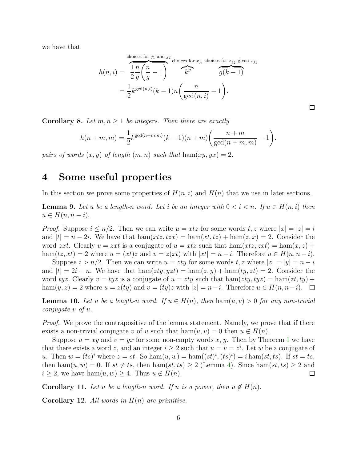we have that

$$
h(n,i) = \frac{\overbrace{1 \text{ } n \text{ } n \text{ } n \text{ } (n,i)}}{\frac{1 \text{ } n \text{ } n \text{ } n \text{ } (n,i)}} = \frac{\overbrace{1 \text{ } n \text{ } n \text{ } (n,i)}}{\frac{1 \text{ } n \text{ } (n \text{ } n \text{ } -1)}} = \frac{1}{2} k^{\gcd(n,i)} (k-1) n \left( \frac{n}{\gcd(n,i)} - 1 \right).
$$

 $\Box$ 

**Corollary 8.** Let  $m, n \geq 1$  be integers. Then there are exactly

$$
h(n+m, m) = \frac{1}{2} k^{\gcd(n+m, m)} (k-1)(n+m) \bigg( \frac{n+m}{\gcd(n+m, m)} - 1 \bigg).
$$

<span id="page-5-0"></span>pairs of words  $(x, y)$  of length  $(m, n)$  such that  $ham(xy, yx) = 2$ .

### 4 Some useful properties

In this section we prove some properties of  $H(n, i)$  and  $H(n)$  that we use in later sections.

<span id="page-5-1"></span>**Lemma 9.** Let u be a length-n word. Let i be an integer with  $0 < i < n$ . If  $u \in H(n, i)$  then  $u \in H(n, n-i)$ .

*Proof.* Suppose  $i \leq n/2$ . Then we can write  $u = xtz$  for some words  $t, z$  where  $|x| = |z| = i$ and  $|t| = n - 2i$ . We have that  $\text{ham}(xtz, tzx) = \text{ham}(xt, tz) + \text{ham}(z, x) = 2$ . Consider the word zxt. Clearly  $v = zxt$  is a conjugate of  $u = xtz$  such that  $ham(x, zxt) = ham(x, z) +$ ham $(tz, xt) = 2$  where  $u = (xt)z$  and  $v = z(xt)$  with  $|xt| = n - i$ . Therefore  $u \in H(n, n - i)$ .

Suppose  $i > n/2$ . Then we can write  $u = zty$  for some words t, z where  $|z| = |y| = n - i$ and  $|t| = 2i - n$ . We have that  $\text{ham}(zty, yzt) = \text{ham}(z, y) + \text{ham}(ty, zt) = 2$ . Consider the word tyz. Clearly  $v = tyz$  is a conjugate of  $u = zty$  such that  $ham(zty, tyz) = ham(zt, ty) +$ ham $(y, z) = 2$  where  $u = z(ty)$  and  $v = (ty)z$  with  $|z| = n-i$ . Therefore  $u \in H(n, n-i)$ .  $\Box$ 

**Lemma 10.** Let u be a length-n word. If  $u \in H(n)$ , then  $ham(u, v) > 0$  for any non-trivial conjugate v of u.

*Proof.* We prove the contrapositive of the lemma statement. Namely, we prove that if there exists a non-trivial conjugate v of u such that  $ham(u, v) = 0$  then  $u \notin H(n)$ .

Suppose  $u = xy$  and  $v = yx$  for some non-empty words x, y. Then by Theorem [1](#page-1-0) we have that there exists a word z, and an integer  $i \geq 2$  such that  $u = v = z^i$ . Let w be a conjugate of u. Then  $w = (ts)^i$  where  $z = st$ . So ham $(u, w) = \text{ham}((st)^i, (ts)^i) = i \text{ham}(st, ts)$ . If  $st = ts$ , then ham $(u, w) = 0$ . If  $st \neq ts$ , then ham $(st, ts) \geq 2$  (Lemma [4\)](#page-1-1). Since ham $(st, ts) \geq 2$  and  $i \geq 2$ , we have ham $(u, w) \geq 4$ . Thus  $u \notin H(n)$ .  $\Box$ 

<span id="page-5-2"></span>**Corollary 11.** Let u be a length-n word. If u is a power, then  $u \notin H(n)$ .

<span id="page-5-3"></span>**Corollary 12.** All words in  $H(n)$  are primitive.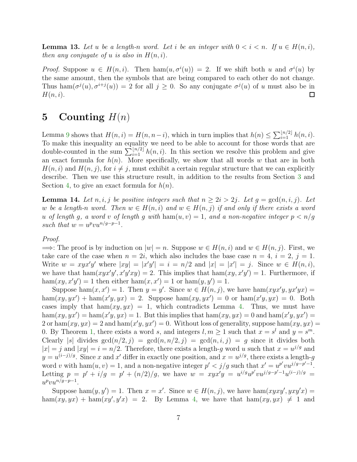<span id="page-6-1"></span>**Lemma 13.** Let u be a length-n word. Let i be an integer with  $0 < i < n$ . If  $u \in H(n, i)$ , then any conjugate of u is also in  $H(n, i)$ .

*Proof.* Suppose  $u \in H(n,i)$ . Then  $ham(u, \sigma^i(u)) = 2$ . If we shift both u and  $\sigma^i(u)$  by the same amount, then the symbols that are being compared to each other do not change. Thus  $\hom(\sigma^j(u), \sigma^{i+j}(u)) = 2$  for all  $j \geq 0$ . So any conjugate  $\sigma^j(u)$  of u must also be in  $H(n, i)$ .  $\Box$ 

### <span id="page-6-0"></span>5 Counting  $H(n)$

Lemma [9](#page-5-1) shows that  $H(n, i) = H(n, n - i)$ , which in turn implies that  $h(n) \leq \sum_{i=1}^{\lfloor n/2 \rfloor} h(n, i)$ . To make this inequality an equality we need to be able to account for those words that are double-counted in the sum  $\sum_{i=1}^{\lfloor n/2 \rfloor} h(n, i)$ . In this section we resolve this problem and give an exact formula for  $h(n)$ . More specifically, we show that all words w that are in both  $H(n, i)$  and  $H(n, j)$ , for  $i \neq j$ , must exhibit a certain regular structure that we can explicitly describe. Then we use this structure result, in addition to the results from Section [3](#page-3-0) and Section [4,](#page-5-0) to give an exact formula for  $h(n)$ .

<span id="page-6-2"></span>**Lemma 14.** Let  $n, i, j$  be positive integers such that  $n \geq 2i > 2j$ . Let  $g = \gcd(n, i, j)$ . Let w be a length-n word. Then  $w \in H(n,i)$  and  $w \in H(n,j)$  if and only if there exists a word u of length g, a word v of length g with  $ham(u, v) = 1$ , and a non-negative integer  $p < n/q$ such that  $w = u^p v u^{n/g-p-1}$ .

#### Proof.

 $\implies$ : The proof is by induction on  $|w| = n$ . Suppose  $w \in H(n, i)$  and  $w \in H(n, j)$ . First, we take care of the case when  $n = 2i$ , which also includes the base case  $n = 4$ ,  $i = 2$ ,  $j = 1$ . Write  $w = xyx'y'$  where  $|xy| = |x'y'| = i = n/2$  and  $|x| = |x'| = j$ . Since  $w \in H(n, i)$ , we have that  $ham(xyx'y', x'y'xy) = 2$ . This implies that  $ham(xy, x'y') = 1$ . Furthermore, if ham $(xy, x'y') = 1$  then either ham $(x, x') = 1$  or ham $(y, y') = 1$ .

Suppose ham $(x, x') = 1$ . Then  $y = y'$ . Since  $w \in H(n, j)$ , we have ham $(xyx'y, yx'yx) =$ ham $(xy, yx') + \text{ham}(x'y, yx) = 2$ . Suppose  $\text{ham}(xy, yx') = 0$  or  $\text{ham}(x'y, yx) = 0$ . Both cases imply that ham $(xy, yx) = 1$ , which contradicts Lemma [4.](#page-1-1) Thus, we must have ham $(xy, yx') = \text{ham}(x'y, yx) = 1$ . But this implies that  $\text{ham}(xy, yx) = 0$  and  $\text{ham}(x'y, yx') = 0$ 2 or  $ham(xy, yx) = 2$  and  $ham(x'y, yx') = 0$ . Without loss of generality, suppose  $ham(xy, yx) = 0$ 0. By Theorem [1,](#page-1-0) there exists a word s, and integers  $l, m \ge 1$  such that  $x = s^l$  and  $y = s^m$ . Clearly |s| divides  $gcd(n/2, j) = gcd(n, n/2, j) = gcd(n, i, j) = g$  since it divides both  $|x| = j$  and  $|xy| = i = n/2$ . Therefore, there exists a length-g word u such that  $x = u^{j/g}$  and  $y = u^{(i-j)/g}$ . Since x and x' differ in exactly one position, and  $x = u^{j/g}$ , there exists a length-g word v with  $\text{ham}(u, v) = 1$ , and a non-negative integer  $p' < j/g$  such that  $x' = u^{p'}vu^{j/g-p'-1}$ . Letting  $p = p' + i/g = p' + (n/2)/g$ , we have  $w = xyx'y = u^{i/g}u^{p'}vu^{j/g-p'-1}u^{(i-j)/g}$  $u^p v u^{n/g-p-1}.$ 

Suppose ham $(y, y') = 1$ . Then  $x = x'$ . Since  $w \in H(n, j)$ , we have ham $(x y x y', y x y' x) =$ ham $(xy, yx)$  + ham $(xy', y'x)$  = 2. By Lemma [4,](#page-1-1) we have that ham $(xy, yx) \neq 1$  and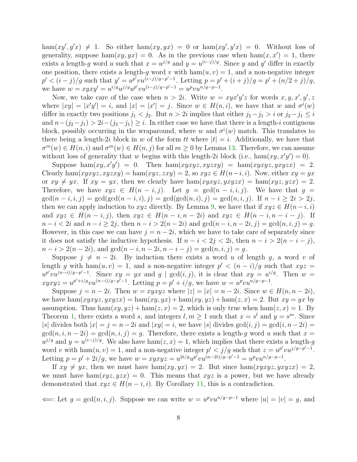ham $(xy', y'x) \neq 1$ . So either ham $(xy, yx) = 0$  or ham $(xy', y'x) = 0$ . Without loss of generality, suppose ham $(xy, yx) = 0$ . As in the previous case when ham $(x, x') = 1$ , there exists a length-g word u such that  $x = u^{j/g}$  and  $y = u^{(i-j)/g}$ . Since y and y' differ in exactly one position, there exists a length-g word v with  $ham(u, v) = 1$ , and a non-negative integer  $p' < (i-j)/g$  such that  $y' = u^{p'}vu^{(i-j)/g-p'-1}$ . Letting  $p = p' + (i+j)/g = p' + (i/(2+j)/g)$ , we have  $w = xyxy' = u^{i/g}u^{j/g}u^{p'}vu^{(i-j)/g-p'-1} = u^pvu^{n/g-p-1}.$ 

Now, we take care of the case when  $n > 2i$ . Write  $w = xyx'y'z$  for words  $x, y, x', y', z$ where  $|xy| = |x'y'| = i$ , and  $|x| = |x'| = j$ . Since  $w \in H(n, i)$ , we have that w and  $\sigma^{i}(w)$ differ in exactly two positions  $j_1 < j_2$ . But  $n > 2i$  implies that either  $j_2 - j_1 > i$  or  $j_2 - j_1 \leq i$ and  $n-(j_2-j_1) > 2i-(j_2-j_1) \geq i$ . In either case we have that there is a length-i contiguous block, possibly occurring in the wraparound, where w and  $\sigma^{i}(w)$  match. This translates to there being a length-2i block in w of the form tt where  $|t| = i$ . Additionally, we have that  $\sigma^m(w) \in H(n,i)$  and  $\sigma^m(w) \in H(n,j)$  for all  $m \ge 0$  by Lemma [13.](#page-6-1) Therefore, we can assume without loss of generality that w begins with this length-2i block (i.e.,  $ham(xy, x'y') = 0$ ).

Suppose  $ham(xy, x'y') = 0$ . Then  $ham(xyxyz, xyzxy) = ham(xyxyz, yxyzx) = 2$ . Clearly ham $(xyxyz, xyzxy) = \text{ham}(xyz, zxy) = 2$ , so  $xyz \in H(n-i, i)$ . Now, either  $xy = yx$ or  $xy \neq yx$ . If  $xy = yx$ , then we clearly have  $ham(xyxyz, yxyzx) = ham(xyz, yzx) = 2$ . Therefore, we have  $xyz \in H(n-i, j)$ . Let  $g = \gcd(n-i, i, j)$ . We have that  $g =$  $gcd(n-i, i, j) = gcd(gcd(n-i, i), j) = gcd(gcd(n, i), j) = gcd(n, i, j).$  If  $n-i \geq 2i > 2j$ , then we can apply induction to xyz directly. By Lemma [9,](#page-5-1) we have that if  $xyz \in H(n-i, i)$ and  $xyz \in H(n-i, j)$ , then  $xyz \in H(n-i, n-2i)$  and  $xyz \in H(n-i, n-i-j)$ . If  $n-i < 2i$  and  $n-i \geq 2j$ , then  $n-i > 2(n-2i)$  and  $gcd(n-i, n-2i, j) = gcd(n, i, j) = g$ . However, in this case we can have  $j = n - 2i$ , which we have to take care of separately since it does not satisfy the inductive hypothesis. If  $n - i < 2j < 2i$ , then  $n - i > 2(n - i - j)$ ,  $n-i > 2(n-2i)$ , and  $gcd(n-i, n-2i, n-i-j) = gcd(n, i, j) = g$ .

Suppose  $j \neq n - 2i$ . By induction there exists a word u of length q, a word v of length g with ham $(u, v) = 1$ , and a non-negative integer  $p' < (n - i)/g$  such that  $xyz =$  $u^{p'}vu^{(n-i)/g-p'-1}$ . Since  $xy = yx$  and  $g \mid \gcd(i, j)$ , it is clear that  $xy = u^{i/g}$ . Then  $w =$  $xyxyz = u^{p'+i/g}vu^{(n-i)/g-p'-1}$ . Letting  $p = p' + i/g$ , we have  $w = u^pvu^{n/g-p-1}$ .

Suppose  $j = n - 2i$ . Then  $w = xyxyz$  where  $|z| = |x| = n - 2i$ . Since  $w \in H(n, n - 2i)$ , we have  $\text{ham}(xyxyz, yxyzx) = \text{ham}(xy, yx) + \text{ham}(xy, yz) + \text{ham}(z, x) = 2$ . But  $xy = yx$  by assumption. Thus  $ham(xy, yz) + ham(z, x) = 2$ , which is only true when  $ham(z, x) = 1$ . By Theorem [1,](#page-1-0) there exists a word s, and integers  $l, m \ge 1$  such that  $x = s^l$  and  $y = s^m$ . Since |s| divides both  $|x| = j = n - 2i$  and  $|xy| = i$ , we have  $|s|$  divides  $gcd(i, j) = gcd(i, n - 2i)$  $gcd(n, i, n - 2i) = gcd(n, i, j) = g$ . Therefore, there exists a length-g word u such that  $x =$  $u^{j/g}$  and  $y = u^{(i-j)/g}$ . We also have ham $(z, x) = 1$ , which implies that there exists a length-g word v with ham $(u, v) = 1$ , and a non-negative integer  $p' < j/g$  such that  $z = u^{p'}vu^{j/g-p'-1}$ . Letting  $p = p' + 2i/g$ , we have  $w = xyxyz = u^{2i/g}u^{p'}vu^{(n-2i)/g-p'-1} = u^pvu^{n/g-p-1}$ .

If  $xy \neq yx$ , then we must have ham $(xy, yx) = 2$ . But since ham $(xyxyz, yxyzx) = 2$ , we must have ham $(xyz, yzx) = 0$ . This means that  $xyz$  is a power, but we have already demonstrated that  $xyz \in H(n-i,i)$ . By Corollary [11,](#page-5-2) this is a contradiction.

 $\Leftarrow$ : Let  $g = \gcd(n, i, j)$ . Suppose we can write  $w = u^p v u^{n/g - p - 1}$  where  $|u| = |v| = g$ , and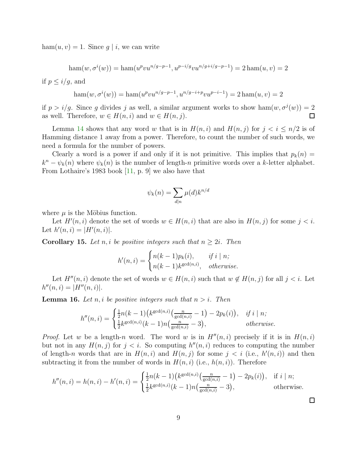$ham(u, v) = 1$ . Since  $g | i$ , we can write

$$
ham(w, \sigma^i(w)) = ham(u^p v u^{n/g-p-1}, u^{p-i/g} v u^{n/g+i/g-p-1}) = 2 ham(u, v) = 2
$$

if  $p \leq i/g$ , and

$$
\operatorname{ham}(w, \sigma^i(w)) = \operatorname{ham}(u^p v u^{n/g - p - 1}, u^{n/g - i + p} v u^{p - i - 1}) = 2 \operatorname{ham}(u, v) = 2
$$

if  $p > i/g$ . Since g divides j as well, a similar argument works to show ham $(w, \sigma^j(w)) = 2$ as well. Therefore,  $w \in H(n, i)$  and  $w \in H(n, j)$ .  $\Box$ 

Lemma [14](#page-6-2) shows that any word w that is in  $H(n, i)$  and  $H(n, j)$  for  $j < i \leq n/2$  is of Hamming distance 1 away from a power. Therefore, to count the number of such words, we need a formula for the number of powers.

Clearly a word is a power if and only if it is not primitive. This implies that  $p_k(n)$  $k^{n} - \psi_{k}(n)$  where  $\psi_{k}(n)$  is the number of length-n primitive words over a k-letter alphabet. From Lothaire's 1983 book [\[11,](#page-11-10) p. 9] we also have that

$$
\psi_k(n) = \sum_{d|n} \mu(d) k^{n/d}
$$

where  $\mu$  is the Möbius function.

Let  $H'(n, i)$  denote the set of words  $w \in H(n, i)$  that are also in  $H(n, j)$  for some  $j < i$ . Let  $h'(n, i) = |H'(n, i)|$ .

**Corollary 15.** Let n, i be positive integers such that  $n \geq 2i$ . Then

$$
h'(n,i) = \begin{cases} n(k-1)p_k(i), & if \ i \mid n; \\ n(k-1)k^{\gcd(n,i)}, & otherwise. \end{cases}
$$

Let  $H''(n, i)$  denote the set of words  $w \in H(n, i)$  such that  $w \notin H(n, j)$  for all  $j < i$ . Let  $h''(n,i) = |H''(n,i)|.$ 

**Lemma 16.** Let n, i be positive integers such that  $n > i$ . Then

$$
h''(n,i) = \begin{cases} \frac{1}{2}n(k-1)\left(k^{\gcd(n,i)}\left(\frac{n}{\gcd(n,i)}-1\right)-2p_k(i)\right), & \text{if } i \mid n; \\ \frac{1}{2}k^{\gcd(n,i)}(k-1)n\left(\frac{n}{\gcd(n,i)}-3\right), & \text{otherwise.} \end{cases}
$$

*Proof.* Let w be a length-n word. The word w is in  $H''(n, i)$  precisely if it is in  $H(n, i)$ but not in any  $H(n, j)$  for  $j < i$ . So computing  $h''(n, i)$  reduces to computing the number of length-n words that are in  $H(n, i)$  and  $H(n, j)$  for some  $j < i$  (i.e.,  $h'(n, i)$ ) and then subtracting it from the number of words in  $H(n, i)$  (i.e.,  $h(n, i)$ ). Therefore

$$
h''(n,i) = h(n,i) - h'(n,i) = \begin{cases} \frac{1}{2}n(k-1)\left(k^{\gcd(n,i)}\left(\frac{n}{\gcd(n,i)} - 1\right) - 2p_k(i)\right), & \text{if } i \mid n; \\ \frac{1}{2}k^{\gcd(n,i)}(k-1)n\left(\frac{n}{\gcd(n,i)} - 3\right), & \text{otherwise.} \end{cases}
$$

 $\Box$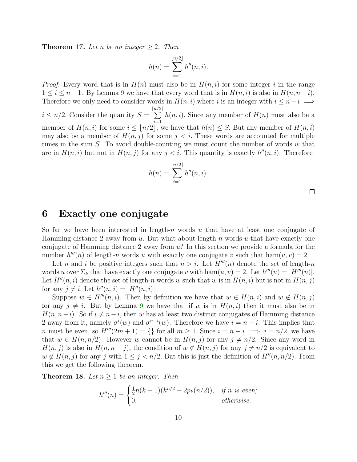**Theorem 17.** Let n be an integer  $\geq 2$ . Then

$$
h(n) = \sum_{i=1}^{\lfloor n/2 \rfloor} h''(n, i).
$$

*Proof.* Every word that is in  $H(n)$  must also be in  $H(n, i)$  for some integer i in the range  $1 \leq i \leq n-1$ . By Lemma [9](#page-5-1) we have that every word that is in  $H(n, i)$  is also in  $H(n, n-i)$ . Therefore we only need to consider words in  $H(n, i)$  where i is an integer with  $i \leq n-i \implies$  $i \leq n/2$ . Consider the quantity  $S =$  $\lfloor n/$  $\sum$  $2^{\,}$  $i=1$  $h(n, i)$ . Since any member of  $H(n)$  must also be a member of  $H(n, i)$  for some  $i \leq \lfloor n/2 \rfloor$ , we have that  $h(n) \leq S$ . But any member of  $H(n, i)$ may also be a member of  $H(n, j)$  for some  $j < i$ . These words are accounted for multiple times in the sum  $S$ . To avoid double-counting we must count the number of words  $w$  that are in  $H(n, i)$  but not in  $H(n, j)$  for any  $j < i$ . This quantity is exactly  $h''(n, i)$ . Therefore

$$
h(n) = \sum_{i=1}^{\lfloor n/2 \rfloor} h''(n, i).
$$

#### <span id="page-9-0"></span>6 Exactly one conjugate

So far we have been interested in length-n words u that have at least one conjugate of Hamming distance 2 away from  $u$ . But what about length-n words  $u$  that have exactly one conjugate of Hamming distance 2 away from  $u$ ? In this section we provide a formula for the number  $h'''(n)$  of length-n words u with exactly one conjugate v such that  $ham(u, v) = 2$ .

Let n and i be positive integers such that  $n > i$ . Let  $H'''(n)$  denote the set of length-n words u over  $\Sigma_k$  that have exactly one conjugate v with  $\text{ham}(u, v) = 2$ . Let  $h'''(n) = |H'''(n)|$ . Let  $H''(n, i)$  denote the set of length-n words w such that w is in  $H(n, i)$  but is not in  $H(n, j)$ for any  $j \neq i$ . Let  $h''(n, i) = |H''(n, i)|$ .

Suppose  $w \in H'''(n, i)$ . Then by definition we have that  $w \in H(n, i)$  and  $w \notin H(n, j)$ for any  $j \neq i$ . But by Lemma [9](#page-5-1) we have that if w is in  $H(n, i)$  then it must also be in  $H(n, n-i)$ . So if  $i \neq n-i$ , then w has at least two distinct conjugates of Hamming distance 2 away from it, namely  $\sigma^{i}(w)$  and  $\sigma^{n-i}(w)$ . Therefore we have  $i = n - i$ . This implies that n must be even, so  $H'''(2m+1) = \{\}\$ for all  $m \geq 1$ . Since  $i = n - i \implies i = n/2$ , we have that  $w \in H(n, n/2)$ . However w cannot be in  $H(n, j)$  for any  $j \neq n/2$ . Since any word in  $H(n, j)$  is also in  $H(n, n - j)$ , the condition of  $w \notin H(n, j)$  for any  $j \neq n/2$  is equivalent to  $w \notin H(n, j)$  for any j with  $1 \leq j < n/2$ . But this is just the definition of  $H''(n, n/2)$ . From this we get the following theorem.

**Theorem 18.** Let  $n > 1$  be an integer. Then

$$
h'''(n) = \begin{cases} \frac{1}{2}n(k-1)(k^{n/2} - 2p_k(n/2)), & \text{if } n \text{ is even;}\\ 0, & \text{otherwise.} \end{cases}
$$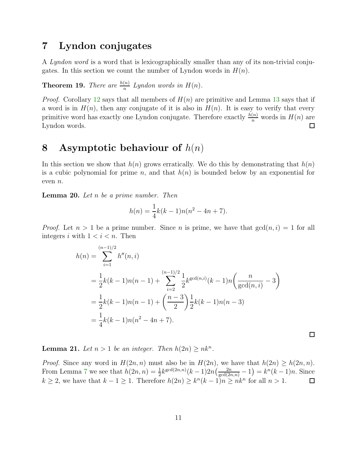## <span id="page-10-0"></span>7 Lyndon conjugates

A Lyndon word is a word that is lexicographically smaller than any of its non-trivial conjugates. In this section we count the number of Lyndon words in  $H(n)$ .

**Theorem 19.** There are  $\frac{h(n)}{n}$  Lyndon words in  $H(n)$ .

*Proof.* Corollary [12](#page-5-3) says that all members of  $H(n)$  are primitive and Lemma [13](#page-6-1) says that if a word is in  $H(n)$ , then any conjugate of it is also in  $H(n)$ . It is easy to verify that every primitive word has exactly one Lyndon conjugate. Therefore exactly  $\frac{h(n)}{n}$  words in  $H(n)$  are Lyndon words.

#### <span id="page-10-1"></span>8 Asymptotic behaviour of  $h(n)$

In this section we show that  $h(n)$  grows erratically. We do this by demonstrating that  $h(n)$ is a cubic polynomial for prime n, and that  $h(n)$  is bounded below by an exponential for even n.

Lemma 20. Let n be a prime number. Then

$$
h(n) = \frac{1}{4}k(k-1)n(n^2 - 4n + 7).
$$

*Proof.* Let  $n > 1$  be a prime number. Since n is prime, we have that  $gcd(n, i) = 1$  for all integers i with  $1 < i < n$ . Then

$$
h(n) = \sum_{i=1}^{(n-1)/2} h''(n, i)
$$
  
=  $\frac{1}{2}k(k-1)n(n-1) + \sum_{i=2}^{(n-1)/2} \frac{1}{2}k^{\gcd(n,i)}(k-1)n\left(\frac{n}{\gcd(n,i)}-3\right)$   
=  $\frac{1}{2}k(k-1)n(n-1) + \left(\frac{n-3}{2}\right)\frac{1}{2}k(k-1)n(n-3)$   
=  $\frac{1}{4}k(k-1)n(n^2-4n+7).$ 

 $\Box$ 

**Lemma 21.** Let  $n > 1$  be an integer. Then  $h(2n) \geq nk^n$ .

*Proof.* Since any word in  $H(2n, n)$  must also be in  $H(2n)$ , we have that  $h(2n) \geq h(2n, n)$ . From Lemma [7](#page-4-0) we see that  $h(2n, n) = \frac{1}{2} k^{\gcd(2n,n)}(k-1)2n(\frac{2n}{\gcd(2n,n)}-1) = k^{n}(k-1)n$ . Since  $k \geq 2$ , we have that  $k - 1 \geq 1$ . Therefore  $h(2n) \geq k^{n}(k-1)n \geq nk^{n}$  for all  $n > 1$ .  $\Box$